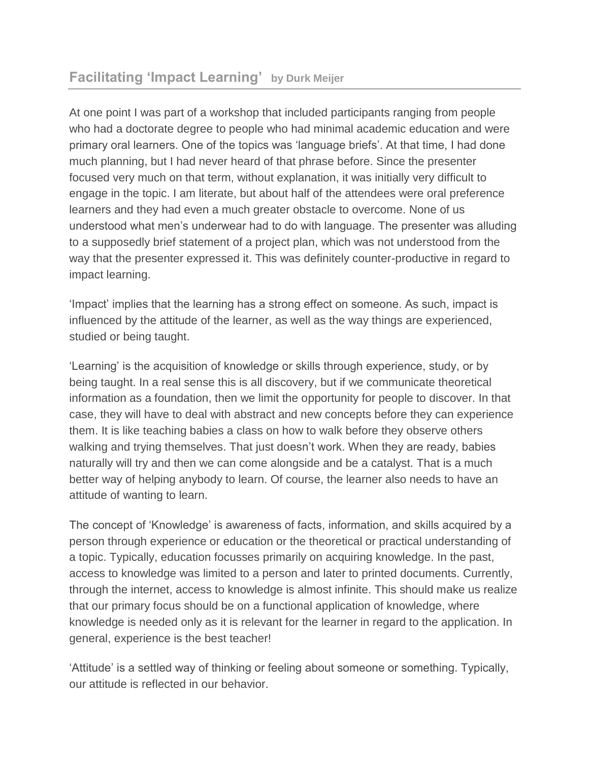At one point I was part of a workshop that included participants ranging from people who had a doctorate degree to people who had minimal academic education and were primary oral learners. One of the topics was 'language briefs'. At that time, I had done much planning, but I had never heard of that phrase before. Since the presenter focused very much on that term, without explanation, it was initially very difficult to engage in the topic. I am literate, but about half of the attendees were oral preference learners and they had even a much greater obstacle to overcome. None of us understood what men's underwear had to do with language. The presenter was alluding to a supposedly brief statement of a project plan, which was not understood from the way that the presenter expressed it. This was definitely counter-productive in regard to impact learning.

'Impact' implies that the learning has a strong effect on someone. As such, impact is influenced by the attitude of the learner, as well as the way things are experienced, studied or being taught.

'Learning' is the acquisition of knowledge or skills through experience, study, or by being taught. In a real sense this is all discovery, but if we communicate theoretical information as a foundation, then we limit the opportunity for people to discover. In that case, they will have to deal with abstract and new concepts before they can experience them. It is like teaching babies a class on how to walk before they observe others walking and trying themselves. That just doesn't work. When they are ready, babies naturally will try and then we can come alongside and be a catalyst. That is a much better way of helping anybody to learn. Of course, the learner also needs to have an attitude of wanting to learn.

The concept of 'Knowledge' is awareness of facts, information, and skills acquired by a person through experience or education or the theoretical or practical understanding of a topic. Typically, education focusses primarily on acquiring knowledge. In the past, access to knowledge was limited to a person and later to printed documents. Currently, through the internet, access to knowledge is almost infinite. This should make us realize that our primary focus should be on a functional application of knowledge, where knowledge is needed only as it is relevant for the learner in regard to the application. In general, experience is the best teacher!

'Attitude' is a settled way of thinking or feeling about someone or something. Typically, our attitude is reflected in our behavior.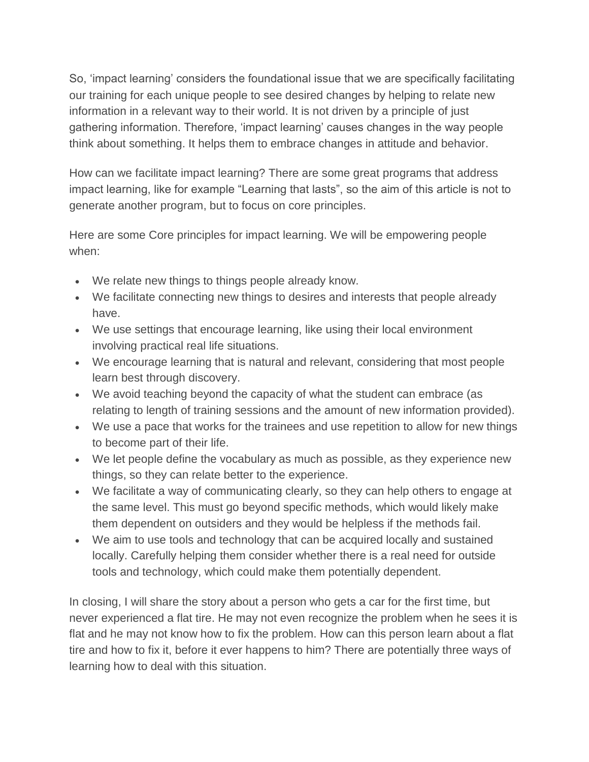So, 'impact learning' considers the foundational issue that we are specifically facilitating our training for each unique people to see desired changes by helping to relate new information in a relevant way to their world. It is not driven by a principle of just gathering information. Therefore, 'impact learning' causes changes in the way people think about something. It helps them to embrace changes in attitude and behavior.

How can we facilitate impact learning? There are some great programs that address impact learning, like for example "Learning that lasts", so the aim of this article is not to generate another program, but to focus on core principles.

Here are some Core principles for impact learning. We will be empowering people when:

- We relate new things to things people already know.
- We facilitate connecting new things to desires and interests that people already have.
- We use settings that encourage learning, like using their local environment involving practical real life situations.
- We encourage learning that is natural and relevant, considering that most people learn best through discovery.
- We avoid teaching beyond the capacity of what the student can embrace (as relating to length of training sessions and the amount of new information provided).
- We use a pace that works for the trainees and use repetition to allow for new things to become part of their life.
- We let people define the vocabulary as much as possible, as they experience new things, so they can relate better to the experience.
- We facilitate a way of communicating clearly, so they can help others to engage at the same level. This must go beyond specific methods, which would likely make them dependent on outsiders and they would be helpless if the methods fail.
- We aim to use tools and technology that can be acquired locally and sustained locally. Carefully helping them consider whether there is a real need for outside tools and technology, which could make them potentially dependent.

In closing, I will share the story about a person who gets a car for the first time, but never experienced a flat tire. He may not even recognize the problem when he sees it is flat and he may not know how to fix the problem. How can this person learn about a flat tire and how to fix it, before it ever happens to him? There are potentially three ways of learning how to deal with this situation.